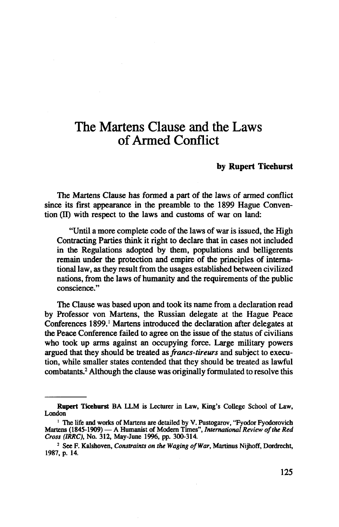## The Martens Clause and the Laws of Armed Conflict

## **by Rupert Ticehurst**

The Martens Clause has formed a part of the laws of armed conflict since its first appearance in the preamble to the 1899 Hague Convention (II) with respect to the laws and customs of war on land:

"Until a more complete code of the laws of war is issued, the High Contracting Parties think it right to declare that in cases not included in the Regulations adopted by them, populations and belligerents remain under the protection and empire of the principles of international law, as they result from the usages established between civilized nations, from the laws of humanity and the requirements of the public conscience."

The Clause was based upon and took its name from a declaration read by Professor von Martens, the Russian delegate at the Hague Peace Conferences 1899.<sup>1</sup> Martens introduced the declaration after delegates at the Peace Conference failed to agree on the issue of the status of civilians who took up arms against an occupying force. Large military powers argued that they should be treated as *francs-tireurs* and subject to execution, while smaller states contended that they should be treated as lawful combatants.<sup>2</sup> Although the clause was originally formulated to resolve this

**Rupert Ticehurst** BA LLM is Lecturer in Law, King's College School of Law, London

<sup>&</sup>lt;sup>1</sup> The life and works of Martens are detailed by V. Pustogarov, "Fyodor Fyodorovich Martens (1845-1909) — A Humanist of Modern Times", *International Review of the Red Cross (IRRC),* No. 312, May-June 1996, pp. 300-314.

<sup>2</sup> See F. Kalshoven, *Constraints on the Waging of War,* Martinus Nijhoff, Dordrecht, 1987, p. 14.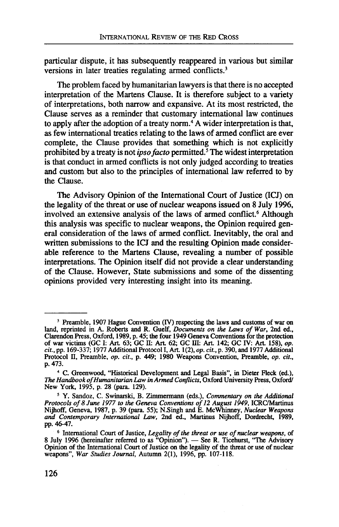particular dispute, it has subsequently reappeared in various but similar versions in later treaties regulating armed conflicts.<sup>3</sup>

The problem faced by humanitarian lawyers is that there is no accepted interpretation of the Martens Clause. It is therefore subject to a variety of interpretations, both narrow and expansive. At its most restricted, the Clause serves as a reminder that customary international law continues to apply after the adoption of a treaty norm.<sup>4</sup> A wider interpretation is that, as few international treaties relating to the laws of armed conflict are ever complete, the Clause provides that something which is not explicitly prohibited by a treaty is not *ipso facto* permitted.<sup>5</sup> The widest interpretation is that conduct in armed conflicts is not only judged according to treaties and custom but also to the principles of international law referred to by the Clause.

The Advisory Opinion of the International Court of Justice (ICJ) on the legality of the threat or use of nuclear weapons issued on 8 July 1996, involved an extensive analysis of the laws of armed conflict.<sup>6</sup> Although this analysis was specific to nuclear weapons, the Opinion required general consideration of the laws of armed conflict. Inevitably, the oral and written submissions to the ICJ and the resulting Opinion made considerable reference to the Martens Clause, revealing a number of possible interpretations. The Opinion itself did not provide a clear understanding of the Clause. However, State submissions and some of the dissenting opinions provided very interesting insight into its meaning.

<sup>&</sup>lt;sup>3</sup> Preamble, 1907 Hague Convention (IV) respecting the laws and customs of war on <sup>3</sup> Preamble, 1907 Hague Convention (IV) respecting the laws and customs of war on land, reprinted in A. Roberts and R. Guelf, *Documents on the Laws of War*, 2nd ed., Clarendon Press, Oxford, 1989, p. 45; the four 1949 Ge *cit.,* pp. 169-337; 1977 Additional Protocol I, Art. 1(2), *op. cit.,* p. 390, and 1977 Additional Protocol II, Preamble, *op. cit.,* p. 449; 1980 Weapons Convention, Preamble, *op. cit.,* p. 473.

<sup>&</sup>lt;sup>4</sup> C. Greenwood, "Historical Development and Legal Basis", in Dieter Fleck (ed.), The Handbook of Humanitarian Law in Armed Conflicts, Oxford University Press, Oxford/ New York, 1995, p. 28 (para. 129).

<sup>5</sup> Y. Sandoz, C. Swinarski, B. Zimmermann (eds.), *Commentary on the Additional Protocols of 8 June 1977 to the Geneva Conventions of 12 August 1949,* ICRC/Martinus Nijhoff, Geneva, 1987, p. 39 (para. 55); N.Singh and E. McWhinney, *Nuclear Weapons and Contemporary International Law,* 2nd ed., Martinus Nijhoff, Dordrecht, 1989, pp. 46-47.

<sup>6</sup> International Court of Justice, *Legality of the threat or use of nuclear weapons,* of 8 July 1996 (hereinafter referred to as "Opinion"). — See R. Ticehurst, "The Advisory Opinion of the International Court of Justice on the legality of the threat or use of nuclear weapons", *War Studies Journal,* Autumn 2(1), 1996, pp. 107-118.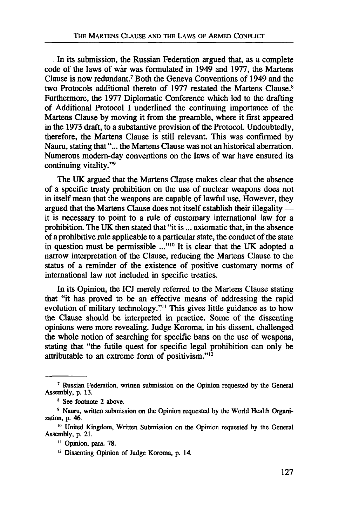In its submission, the Russian Federation argued that, as a complete code of the laws of war was formulated in 1949 and 1977, the Martens Clause is now redundant.7 Both the Geneva Conventions of 1949 and the two Protocols additional thereto of 1977 restated the Martens Clause.<sup>8</sup> Furthermore, the 1977 Diplomatic Conference which led to the drafting of Additional Protocol I underlined the continuing importance of the Martens Clause by moving it from the preamble, where it first appeared in the 1973 draft, to a substantive provision of the Protocol. Undoubtedly, therefore, the Martens Clause is still relevant. This was confirmed by Nauru, stating that"... the Martens Clause was not an historical aberration. Numerous modern-day conventions on the laws of war have ensured its continuing vitality."9

The UK argued that the Martens Clause makes clear that the absence of a specific treaty prohibition on the use of nuclear weapons does not in itself mean that the weapons are capable of lawful use. However, they argued that the Martens Clause does not itself establish their illegality it is necessary to point to a rule of customary international law for a prohibition. The UK then stated that "it is... axiomatic that, in the absence of a prohibitive rule applicable to a particular state, the conduct of the state in question must be permissible ..."10 It is clear that the UK adopted a narrow interpretation of the Clause, reducing the Martens Clause to the status of a reminder of the existence of positive customary norms of international law not included in specific treaties.

In its Opinion, the ICJ merely referred to the Martens Clause stating that "it has proved to be an effective means of addressing the rapid evolution of military technology."<sup>11</sup> This gives little guidance as to how the Clause should be interpreted in practice. Some of the dissenting opinions were more revealing. Judge Koroma, in his dissent, challenged the whole notion of searching for specific bans on the use of weapons, stating that "the futile quest for specific legal prohibition can only be attributable to an extreme form of positivism."<sup>12</sup>

<sup>&</sup>lt;sup>7</sup> Russian Federation, written submission on the Opinion requested by the General Assembly, p. 13.

<sup>8</sup> See footnote 2 above.

<sup>9</sup> Nauru, written submission on the Opinion requested by the World Health Organi- zation, p. 46.

<sup>&</sup>lt;sup>10</sup> United Kingdom, Written Submission on the Opinion requested by the General Assembly, p. 21.

<sup>&</sup>lt;sup>11</sup> Opinion, para. 78.

<sup>&</sup>lt;sup>12</sup> Dissenting Opinion of Judge Koroma, p. 14.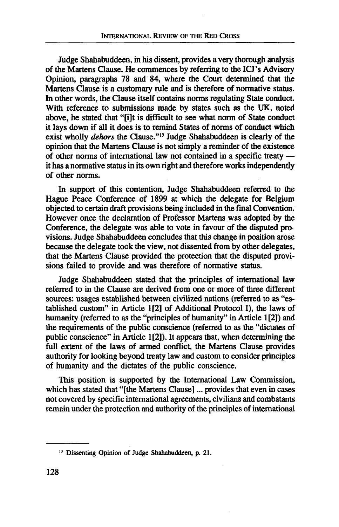Judge Shahabuddeen, in his dissent, provides a very thorough analysis of the Martens Clause. He commences by referring to the ICJ's Advisory Opinion, paragraphs 78 and 84, where the Court determined that the Martens Clause is a customary rule and is therefore of normative status. In other words, the Clause itself contains norms regulating State conduct With reference to submissions made by states such as the UK, noted above, he stated that "[i]t is difficult to see what norm of State conduct it lays down if all it does is to remind States of norms of conduct which exist wholly *dehors* the Clause."13 Judge Shahabuddeen is clearly of the opinion that the Martens Clause is not simply a reminder of the existence of other norms of international law not contained in a specific treaty it has a normative status in its own right and therefore works independently of other norms.

In support of this contention, Judge Shahabuddeen referred to the Hague Peace Conference of 1899 at which the delegate for Belgium objected to certain draft provisions being included in the final Convention. However once the declaration of Professor Martens was adopted by the Conference, the delegate was able to vote in favour of the disputed provisions. Judge Shahabuddeen concludes that this change in position arose because the delegate took the view, not dissented from by other delegates, that the Martens Clause provided the protection that the disputed provisions failed to provide and was therefore of normative status.

Judge Shahabuddeen stated that the principles of international law referred to in the Clause are derived from one or more of three different sources: usages established between civilized nations (referred to as "established custom" in Article 1[2] of Additional Protocol I), the laws of humanity (referred to as the "principles of humanity" in Article 1[2]) and the requirements of the public conscience (referred to as the "dictates of public conscience" in Article 1[2]). It appears that, when determining the full extent of the laws of armed conflict, the Martens Clause provides authority for looking beyond treaty law and custom to consider principles of humanity and the dictates of the public conscience.

This position is supported by the International Law Commission, which has stated that "[the Martens Clause]... provides that even in cases not covered by specific international agreements, civilians and combatants remain under the protection and authority of the principles of international

<sup>&</sup>lt;sup>13</sup> Dissenting Opinion of Judge Shahabuddeen, p. 21.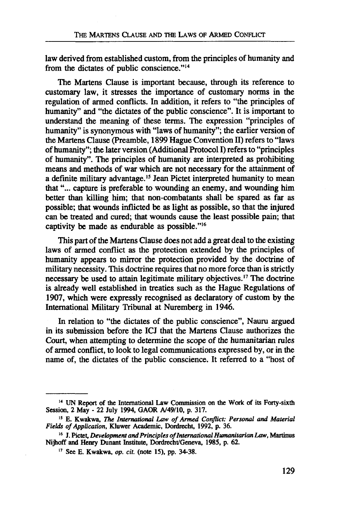law derived from established custom, from the principles of humanity and from the dictates of public conscience."<sup>14</sup>

The Martens Clause is important because, through its reference to customary law, it stresses the importance of customary norms in the regulation of armed conflicts. In addition, it refers to "the principles of humanity" and "the dictates of the public conscience". It is important to understand the meaning of these terms. The expression "principles of humanity" is synonymous with "laws of humanity"; the earlier version of the Martens Clause (Preamble, 1899 Hague Convention II) refers to "laws of humanity"; the later version (Additional Protocol I) refers to "principles of humanity". The principles of humanity are interpreted as prohibiting means and methods of war which are not necessary for the attainment of a definite military advantage.<sup>15</sup> Jean Pictet interpreted humanity to mean that"... capture is preferable to wounding an enemy, and wounding him better than killing him; that non-combatants shall be spared as far as possible; that wounds inflicted be as light as possible, so that the injured can be treated and cured; that wounds cause the least possible pain; that captivity be made as endurable as possible."16

This part of the Martens Clause does not add a great deal to the existing laws of armed conflict as the protection extended by the principles of humanity appears to mirror the protection provided by the doctrine of military necessity. This doctrine requires that no more force than is strictly necessary be used to attain legitimate military objectives.<sup>17</sup> The doctrine is already well established in treaties such as the Hague Regulations of 1907, which were expressly recognised as declaratory of custom by the International Military Tribunal at Nuremberg in 1946.

In relation to "the dictates of the public conscience", Nauru argued in its submission before the ICJ that the Martens Clause authorizes the Court, when attempting to determine the scope of the humanitarian rules of armed conflict, to look to legal communications expressed by, or in the name of, the dictates of the public conscience. It referred to a "host of

**<sup>14</sup> UN Report of the International Law Commission on the Work of its Forty-sixth Session, 2 May - 22 July 1994, GAOR A/49/10, p. 317.**

**<sup>15</sup> E. Kwakwa,** *The International Law of Armed Conflict: Personal and Material Fields of Application,* **Kluwer Academic, Dordrecht, 1992, p. 36.**

**<sup>16</sup> J. Pictet,** *Development and Principles of International Humanitarian Law,* **Martinus Nijhoff and Henry Dunant Institute, Dordrecht/Geneva, 1985, p. 62.**

**<sup>17</sup> See E. Kwakwa,** *op. cit.* **(note 15), pp. 34-38.**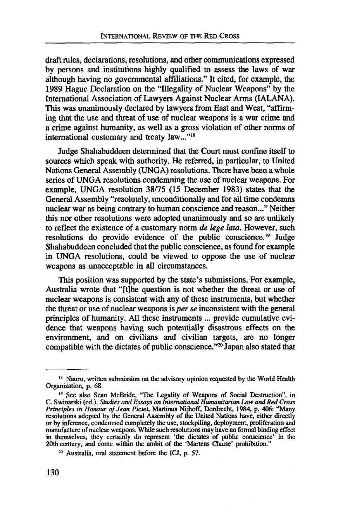draft rules, declarations, resolutions, and other communications expressed by persons and institutions highly qualified to assess the laws of war although having no governmental affiliations." It cited, for example, the 1989 Hague Declaration on the "Illegality of Nuclear Weapons" by the International Association of Lawyers Against Nuclear Arms (IALANA). This was unanimously declared by lawyers from East and West, "affirming that the use and threat of use of nuclear weapons is a war crime and a crime against humanity, as well as a gross violation of other norms of international customary and treaty law..."18

Judge Shahabuddeen determined that the Court must confine itself to sources which speak with authority. He referred, in particular, to United Nations General Assembly (UNGA) resolutions. There have been a whole series of UNGA resolutions condemning the use of nuclear weapons. For example, UNGA resolution 38/75 (15 December 1983) states that the General Assembly "resolutely, unconditionally and for all time condemns nuclear war as being contrary to human conscience and reason..." Neither this nor other resolutions were adopted unanimously and so are unlikely to reflect the existence of a customary norm *de lege lata.* However, such resolutions do provide evidence of the public conscience.<sup>19</sup> Judge Shahabuddeen concluded that the public conscience, as found for example in UNGA resolutions, could be viewed to oppose the use of nuclear weapons as unacceptable in all circumstances.

This position was supported by the state's submissions. For example, Australia wrote that "[t]he question is not whether the threat or use of nuclear weapons is consistent with any of these instruments, but whether the threat or use of nuclear weapons is *per se* inconsistent with the general principles of humanity. All these instruments ... provide cumulative evidence that weapons having such potentially disastrous effects on the environment, and on civilians and civilian targets, are no longer compatible with the dictates of public conscience."<sup>20</sup> Japan also stated that

<sup>&</sup>lt;sup>18</sup> Nauru, written submission on the advisory opinion requested by the World Health Organization, p. 68.

<sup>&</sup>lt;sup>19</sup> See also Sean McBride, "The Legality of Weapons of Social Destruction", in C. Swinarski (ed.), Studies and Essays on International Humanitarian Law and Red Cross *Principles in Honour of Jean Pictet,* Martinus Nijhoff, Dordrecht, 1984, p. 406: "Many resolutions adopted by the General Assembly of the United Nations have, either directly or by inference, condemned completely the use, stockpiling, deployment, proliferation and or by inference, condemned completely the use, stockpiling, deployment, proliferation and manufacture of nuclear weapons. While such resolutions may have no formal binding effect in themselves, they certainly do represent 'the dictates of public conscience' in the 20th century, and come within the ambit of the 'Martens Clause' prohibition."

<sup>20</sup> Australia, oral statement before the ICJ, p. 57.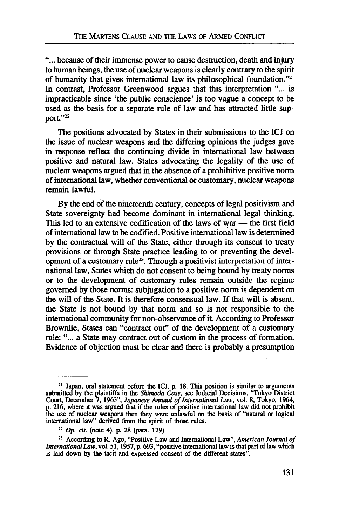"... because of their immense power to cause destruction, death and injury to human beings, the use of nuclear weapons is clearly contrary to the spirit of humanity that gives international law its philosophical foundation."21 In contrast, Professor Greenwood argues that this interpretation "... is impracticable since 'the public conscience' is too vague a concept to be used as the basis for a separate rule of law and has attracted little support."22

The positions advocated by States in their submissions to the ICJ on the issue of nuclear weapons and the differing opinions the judges gave in response reflect the continuing divide in international law between positive and natural law. States advocating the legality of the use of nuclear weapons argued that in the absence of a prohibitive positive norm of international law, whether conventional or customary, nuclear weapons remain lawful.

By the end of the nineteenth century, concepts of legal positivism and State sovereignty had become dominant in international legal thinking. This led to an extensive codification of the laws of war — the first field of international law to be codified. Positive international law is determined by the contractual will of the State, either through its consent to treaty provisions or through State practice leading to or preventing the development of a customary rule<sup>23</sup>. Through a positivist interpretation of international law, States which do not consent to being bound by treaty norms or to the development of customary rules remain outside the regime governed by those norms: subjugation to a positive norm is dependent on the will of the State. It is therefore consensual law. If that will is absent, the State is not bound by that norm and so is not responsible to the international community for non-observance of it. According to Professor Brownlie, States can "contract out" of the development of a customary rule: "... a State may contract out of custom in the process of formation. Evidence of objection must be clear and there is probably a presumption

<sup>21</sup> Japan, oral statement before the ICJ, p. 18. This position is similar to arguments submitted by the plaintiffs in the *Shimoda Case,* see Judicial Decisions, "Tokyo District Court, December 7, 1963", *Japanese Annual of International Law,* vol. 8, Tokyo, 1964, p. 216, where it was argued that if the rules of positive international law did not prohibit the use of nuclear weapons then they were unlawful on the basis of "natural or logical international law" derived from the spirit of those rules.

<sup>22</sup>  *Op. cit.* (note 4), p. 28 (para. 129).

<sup>23</sup> According to R. Ago, "Positive Law and International Law", *American Journal of International Law,* vol. 51,1957, p. 693, "positive international law is that part of law which is laid down by the tacit and expressed consent of the different states".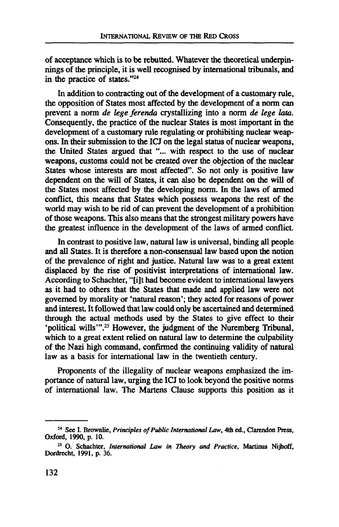of acceptance which is to be rebutted. Whatever the theoretical underpinnings of the principle, it is well recognised by international tribunals, and in the practice of states."24

In addition to contracting out of the development of a customary rule, the opposition of States most affected by the development of a norm can prevent a norm *de lege ferenda* crystallizing into a norm *de lege lota.* Consequently, the practice of the nuclear States is most important in the development of a customary rule regulating or prohibiting nuclear weapons. In their submission to the ICJ on the legal status of nuclear weapons, the United States argued that "... with respect to the use of nuclear weapons, customs could not be created over the objection of the nuclear States whose interests are most affected". So not only is positive law dependent on the will of States, it can also be dependent on the will of the States most affected by the developing norm. In the laws of armed conflict, this means that States which possess weapons the rest of the world may wish to be rid of can prevent the development of a prohibition of those weapons. This also means that the strongest military powers have the greatest influence in the development of the laws of armed conflict.

In contrast to positive law, natural law is universal, binding all people and all States. It is therefore a non-consensual law based upon the notion of the prevalence of right and justice. Natural law was to a great extent displaced by the rise of positivist interpretations of international law. According to Schachter, "[i]t had become evident to international lawyers as it had to others that the States that made and applied law were not governed by morality or 'natural reason'; they acted for reasons of power and interest. It followed that law could only be ascertained and determined through the actual methods used by the States to give effect to their 'political wills'".<sup>25</sup> However, the judgment of the Nuremberg Tribunal, which to a great extent relied on natural law to determine the culpability of the Nazi high command, confirmed the continuing validity of natural law as a basis for international law in the twentieth century.

Proponents of the illegality of nuclear weapons emphasized the importance of natural law, urging the ICJ to look beyond the positive norms of international law. The Martens Clause supports this position as it

**<sup>24</sup> See I. Brownlie,** *Principles of Public International Law,* **4th ed., Clarendon Press, Oxford, 1990, p. 10.**

**<sup>25</sup> O. Schachter,** *International Law in Theory and Practice,* **Martinus Nijhoff, Dordrecht, 1991, p. 36.**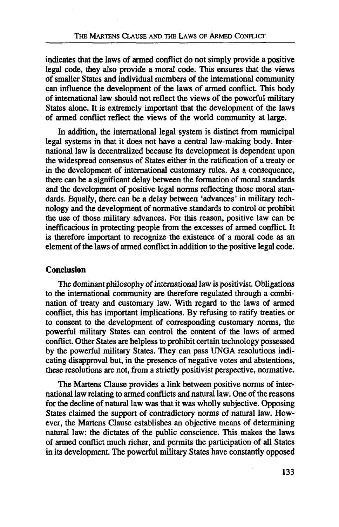indicates that the laws of armed conflict do not simply provide a positive legal code, they also provide a moral code. This ensures that the views of smaller States and individual members of the international community can influence the development of the laws of armed conflict. This body of international law should not reflect the views of the powerful military States alone. It is extremely important that the development of the laws of armed conflict reflect the views of the world community at large.

In addition, the international legal system is distinct from municipal legal systems in that it does not have a central law-making body. International law is decentralized because its development is dependent upon the widespread consensus of States either in the ratification of a treaty or in the development of international customary rules. As a consequence, there can be a significant delay between the formation of moral standards and the development of positive legal norms reflecting those moral standards. Equally, there can be a delay between 'advances' in military technology and the development of normative standards to control or prohibit the use of those military advances. For this reason, positive law can be inefficacious in protecting people from the excesses of armed conflict. It is therefore important to recognize the existence of a moral code as an element of the laws of armed conflict in addition to the positive legal code.

## **Conclusion**

The dominant philosophy of international law is positivist. Obligations to the international community are therefore regulated through a combination of treaty and customary law. With regard to the laws of armed conflict, this has important implications. By refusing to ratify treaties or to consent to the development of corresponding customary norms, the powerful military States can control the content of the laws of armed conflict. Other States are helpless to prohibit certain technology possessed by the powerful military States. They can pass UNGA resolutions indicating disapproval but, in the presence of negative votes and abstentions, these resolutions are not, from a strictly positivist perspective, normative.

The Martens Clause provides a link between positive norms of international law relating to armed conflicts and natural law. One of the reasons for the decline of natural law was that it was wholly subjective. Opposing States claimed the support of contradictory norms of natural law. However, the Martens Clause establishes an objective means of determining natural law: the dictates of the public conscience. This makes the laws of armed conflict much richer, and permits the participation of all States in its development. The powerful military States have constantly opposed